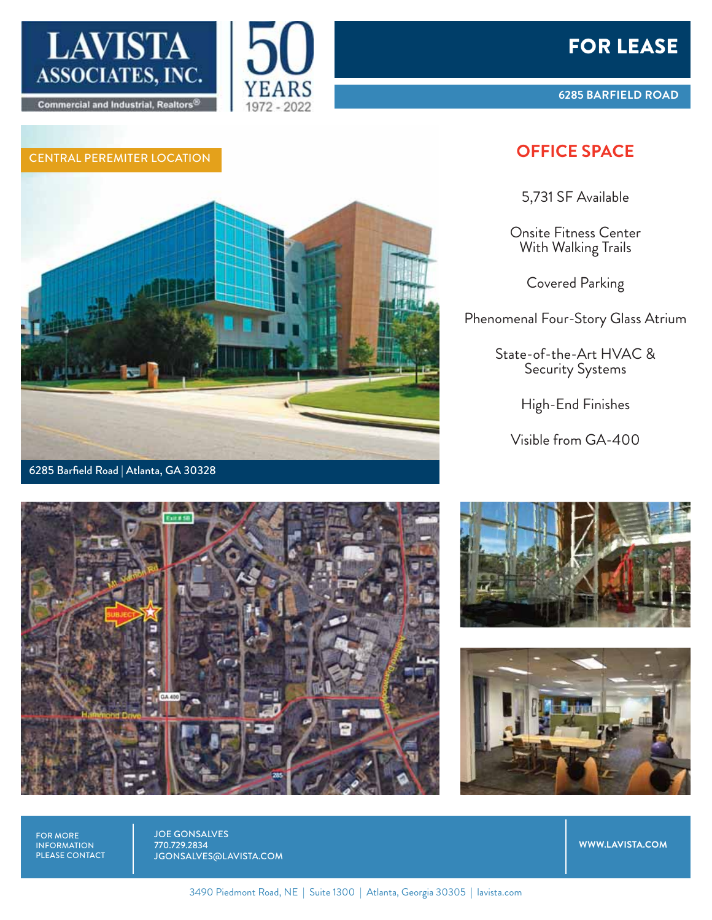







**6285 BARFIELD ROAD**

## CENTRAL PEREMITER LOCATION **OFFICE SPACE**

5,731 SF Available

Onsite Fitness Center With Walking Trails

Covered Parking

Phenomenal Four-Story Glass Atrium

State-of-the-Art HVAC & Security Systems

High-End Finishes

Visible from GA-400







FOR MORE INFORMATION PLEASE CONTACT JOE GONSALVES 770.729.2834 JGONSALVES@LAVISTA.COM

**WWW.LAVISTA.COM**